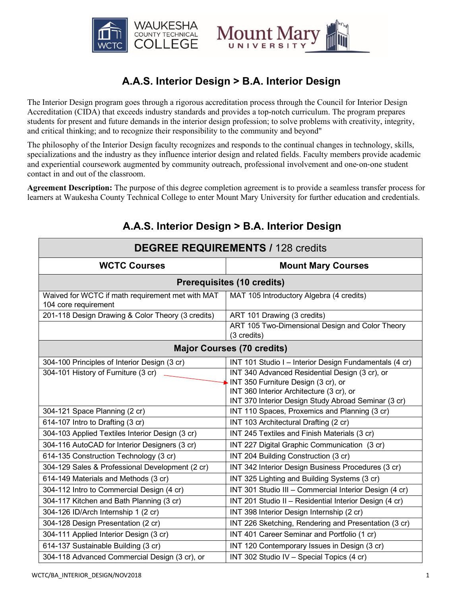

# **A.A.S. Interior Design > B.A. Interior Design**

The Interior Design program goes through a rigorous accreditation process through the Council for Interior Design Accreditation (CIDA) that exceeds industry standards and provides a top-notch curriculum. The program prepares students for present and future demands in the interior design profession; to solve problems with creativity, integrity, and critical thinking; and to recognize their responsibility to the community and beyond"

The philosophy of the Interior Design faculty recognizes and responds to the continual changes in technology, skills, specializations and the industry as they influence interior design and related fields. Faculty members provide academic and experiential coursework augmented by community outreach, professional involvement and one-on-one student contact in and out of the classroom.

**Agreement Description:** The purpose of this degree completion agreement is to provide a seamless transfer process for learners at Waukesha County Technical College to enter Mount Mary University for further education and credentials.

| <b>DEGREE REQUIREMENTS / 128 credits</b>                                 |                                                                |  |
|--------------------------------------------------------------------------|----------------------------------------------------------------|--|
| <b>WCTC Courses</b>                                                      | <b>Mount Mary Courses</b>                                      |  |
| <b>Prerequisites (10 credits)</b>                                        |                                                                |  |
| Waived for WCTC if math requirement met with MAT<br>104 core requirement | MAT 105 Introductory Algebra (4 credits)                       |  |
| 201-118 Design Drawing & Color Theory (3 credits)                        | ART 101 Drawing (3 credits)                                    |  |
|                                                                          | ART 105 Two-Dimensional Design and Color Theory<br>(3 credits) |  |
| <b>Major Courses (70 credits)</b>                                        |                                                                |  |
| 304-100 Principles of Interior Design (3 cr)                             | INT 101 Studio I - Interior Design Fundamentals (4 cr)         |  |
| 304-101 History of Furniture (3 cr)                                      | INT 340 Advanced Residential Design (3 cr), or                 |  |
|                                                                          | INT 350 Furniture Design (3 cr), or                            |  |
|                                                                          | INT 360 Interior Architecture (3 cr), or                       |  |
|                                                                          | INT 370 Interior Design Study Abroad Seminar (3 cr)            |  |
| 304-121 Space Planning (2 cr)                                            | INT 110 Spaces, Proxemics and Planning (3 cr)                  |  |
| 614-107 Intro to Drafting (3 cr)                                         | INT 103 Architectural Drafting (2 cr)                          |  |
| 304-103 Applied Textiles Interior Design (3 cr)                          | INT 245 Textiles and Finish Materials (3 cr)                   |  |
| 304-116 AutoCAD for Interior Designers (3 cr)                            | INT 227 Digital Graphic Communication (3 cr)                   |  |
| 614-135 Construction Technology (3 cr)                                   | INT 204 Building Construction (3 cr)                           |  |
| 304-129 Sales & Professional Development (2 cr)                          | INT 342 Interior Design Business Procedures (3 cr)             |  |
| 614-149 Materials and Methods (3 cr)                                     | INT 325 Lighting and Building Systems (3 cr)                   |  |
| 304-112 Intro to Commercial Design (4 cr)                                | INT 301 Studio III - Commercial Interior Design (4 cr)         |  |
| 304-117 Kitchen and Bath Planning (3 cr)                                 | INT 201 Studio II - Residential Interior Design (4 cr)         |  |
| 304-126 ID/Arch Internship 1 (2 cr)                                      | INT 398 Interior Design Internship (2 cr)                      |  |
| 304-128 Design Presentation (2 cr)                                       | INT 226 Sketching, Rendering and Presentation (3 cr)           |  |
| 304-111 Applied Interior Design (3 cr)                                   | INT 401 Career Seminar and Portfolio (1 cr)                    |  |
| 614-137 Sustainable Building (3 cr)                                      | INT 120 Contemporary Issues in Design (3 cr)                   |  |
| 304-118 Advanced Commercial Design (3 cr), or                            | INT 302 Studio IV - Special Topics (4 cr)                      |  |

## **A.A.S. Interior Design > B.A. Interior Design**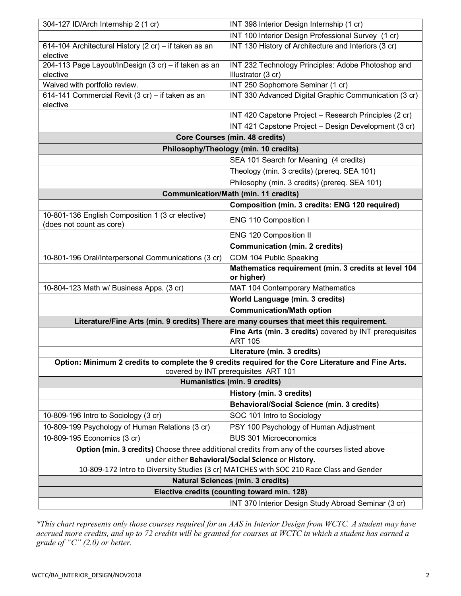| INT 100 Interior Design Professional Survey (1 cr)<br>INT 130 History of Architecture and Interiors (3 cr)<br>614-104 Architectural History (2 cr) - if taken as an<br>elective<br>204-113 Page Layout/InDesign (3 cr) - if taken as an<br>INT 232 Technology Principles: Adobe Photoshop and<br>elective<br>Illustrator (3 cr) |  |
|---------------------------------------------------------------------------------------------------------------------------------------------------------------------------------------------------------------------------------------------------------------------------------------------------------------------------------|--|
|                                                                                                                                                                                                                                                                                                                                 |  |
|                                                                                                                                                                                                                                                                                                                                 |  |
|                                                                                                                                                                                                                                                                                                                                 |  |
|                                                                                                                                                                                                                                                                                                                                 |  |
|                                                                                                                                                                                                                                                                                                                                 |  |
| Waived with portfolio review.<br>INT 250 Sophomore Seminar (1 cr)                                                                                                                                                                                                                                                               |  |
| 614-141 Commercial Revit (3 cr) - if taken as an<br>INT 330 Advanced Digital Graphic Communication (3 cr)                                                                                                                                                                                                                       |  |
| elective<br>INT 420 Capstone Project - Research Principles (2 cr)                                                                                                                                                                                                                                                               |  |
| INT 421 Capstone Project - Design Development (3 cr)                                                                                                                                                                                                                                                                            |  |
| <b>Core Courses (min. 48 credits)</b>                                                                                                                                                                                                                                                                                           |  |
| Philosophy/Theology (min. 10 credits)                                                                                                                                                                                                                                                                                           |  |
|                                                                                                                                                                                                                                                                                                                                 |  |
| SEA 101 Search for Meaning (4 credits)                                                                                                                                                                                                                                                                                          |  |
| Theology (min. 3 credits) (prereq. SEA 101)                                                                                                                                                                                                                                                                                     |  |
| Philosophy (min. 3 credits) (prereq. SEA 101)                                                                                                                                                                                                                                                                                   |  |
| <b>Communication/Math (min. 11 credits)</b>                                                                                                                                                                                                                                                                                     |  |
| Composition (min. 3 credits: ENG 120 required)                                                                                                                                                                                                                                                                                  |  |
| 10-801-136 English Composition 1 (3 cr elective)<br>ENG 110 Composition I<br>(does not count as core)                                                                                                                                                                                                                           |  |
| ENG 120 Composition II                                                                                                                                                                                                                                                                                                          |  |
| <b>Communication (min. 2 credits)</b>                                                                                                                                                                                                                                                                                           |  |
| COM 104 Public Speaking<br>10-801-196 Oral/Interpersonal Communications (3 cr)                                                                                                                                                                                                                                                  |  |
| Mathematics requirement (min. 3 credits at level 104                                                                                                                                                                                                                                                                            |  |
| or higher)                                                                                                                                                                                                                                                                                                                      |  |
| MAT 104 Contemporary Mathematics<br>10-804-123 Math w/ Business Apps. (3 cr)                                                                                                                                                                                                                                                    |  |
|                                                                                                                                                                                                                                                                                                                                 |  |
| World Language (min. 3 credits)                                                                                                                                                                                                                                                                                                 |  |
| <b>Communication/Math option</b>                                                                                                                                                                                                                                                                                                |  |
| Literature/Fine Arts (min. 9 credits) There are many courses that meet this requirement.                                                                                                                                                                                                                                        |  |
| Fine Arts (min. 3 credits) covered by INT prerequisites                                                                                                                                                                                                                                                                         |  |
| <b>ART 105</b>                                                                                                                                                                                                                                                                                                                  |  |
| Literature (min. 3 credits)                                                                                                                                                                                                                                                                                                     |  |
| Option: Minimum 2 credits to complete the 9 credits required for the Core Literature and Fine Arts.                                                                                                                                                                                                                             |  |
| covered by INT prerequisites ART 101                                                                                                                                                                                                                                                                                            |  |
| <b>Humanistics (min. 9 credits)</b>                                                                                                                                                                                                                                                                                             |  |
| History (min. 3 credits)                                                                                                                                                                                                                                                                                                        |  |
| <b>Behavioral/Social Science (min. 3 credits)</b>                                                                                                                                                                                                                                                                               |  |
| 10-809-196 Intro to Sociology (3 cr)<br>SOC 101 Intro to Sociology                                                                                                                                                                                                                                                              |  |
| 10-809-199 Psychology of Human Relations (3 cr)<br>PSY 100 Psychology of Human Adjustment<br><b>BUS 301 Microeconomics</b>                                                                                                                                                                                                      |  |
| 10-809-195 Economics (3 cr)                                                                                                                                                                                                                                                                                                     |  |
| Option (min. 3 credits) Choose three additional credits from any of the courses listed above                                                                                                                                                                                                                                    |  |
| under either Behavioral/Social Science or History.                                                                                                                                                                                                                                                                              |  |
| 10-809-172 Intro to Diversity Studies (3 cr) MATCHES with SOC 210 Race Class and Gender                                                                                                                                                                                                                                         |  |
| <b>Natural Sciences (min. 3 credits)</b><br>Elective credits (counting toward min. 128)                                                                                                                                                                                                                                         |  |

*\*This chart represents only those courses required for an AAS in Interior Design from WCTC. A student may have accrued more credits, and up to 72 credits will be granted for courses at WCTC in which a student has earned a grade of "C" (2.0) or better.*